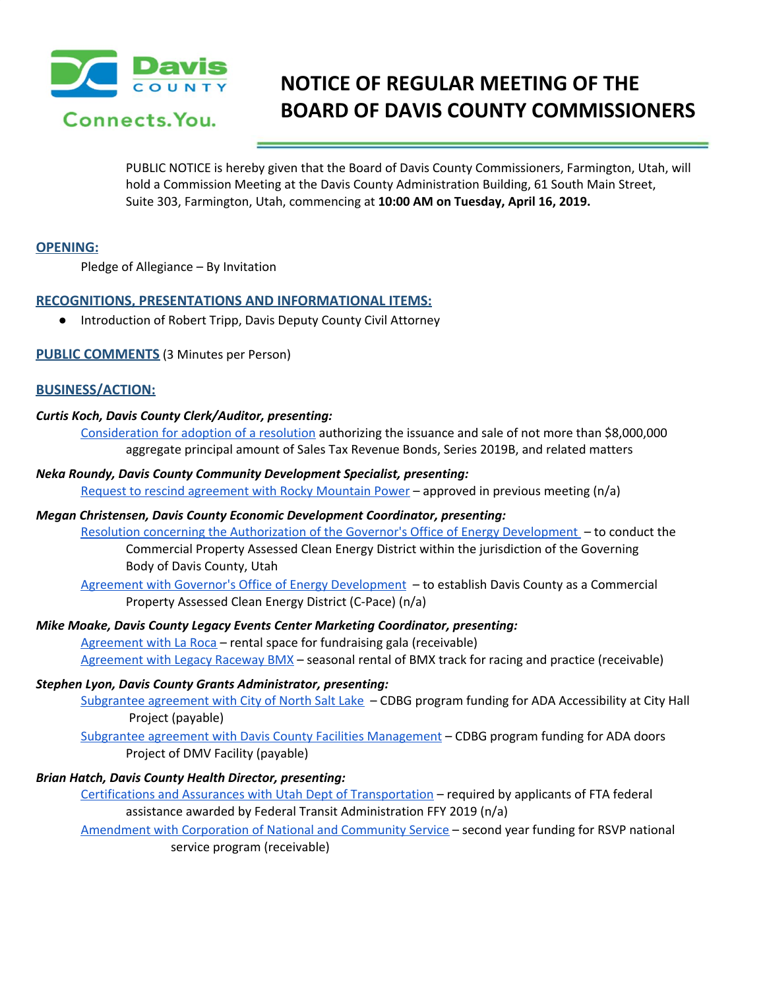

# **NOTICE OF REGULAR MEETING OF THE BOARD OF DAVIS COUNTY COMMISSIONERS**

PUBLIC NOTICE is hereby given that the Board of Davis County Commissioners, Farmington, Utah, will hold a Commission Meeting at the Davis County Administration Building, 61 South Main Street, Suite 303, Farmington, Utah, commencing at **10:00 AM on Tuesday, April 16, 2019.**

#### **OPENING:**

Pledge of Allegiance – By Invitation

## **RECOGNITIONS, PRESENTATIONS AND INFORMATIONAL ITEMS:**

● Introduction of Robert Tripp, Davis Deputy County Civil Attorney

## **PUBLIC COMMENTS** (3 Minutes per Person)

#### **BUSINESS/ACTION:**

#### *Curtis Koch, Davis County Clerk/Auditor, presenting:*

[Consideration](https://drive.google.com/a/co.davis.ut.us/file/d/1w-8WkJpQYoEBFbjRaKizUtdQXD-Oc4Ki/view?usp=drivesdk) for adoption of a resolution authorizing the issuance and sale of not more than \$8,000,000 aggregate principal amount of Sales Tax Revenue Bonds, Series 2019B, and related matters

# *Neka Roundy, Davis County Community Development Specialist, presenting:*

Request to rescind [agreement](https://drive.google.com/a/co.davis.ut.us/file/d/1l8L3acarkmplpF2rkE04pZSfK_l3EkId/view?usp=drivesdk) with Rocky Mountain Power – approved in previous meeting (n/a)

# *Megan Christensen, Davis County Economic Development Coordinator, presenting:*

Resolution concerning the [Authorization](https://drive.google.com/a/co.davis.ut.us/file/d/1tuo4nY-J0YN2AoKNm-dyRm6dPQ23J8gq/view?usp=drivesdk) of the Governor's Office of Energy Development – to conduct the Commercial Property Assessed Clean Energy District within the jurisdiction of the Governing Body of Davis County, Utah

Agreement with Governor's Office of Energy [Development](https://drive.google.com/a/co.davis.ut.us/file/d/1xpH_UPQo-xiaEqiz7S5nFl1RX3h2mXAx/view?usp=drivesdk) – to establish Davis County as a Commercial Property Assessed Clean Energy District (C-Pace) (n/a)

#### *Mike Moake, Davis County Legacy Events Center Marketing Coordinator, presenting:*

[Agreement](https://drive.google.com/a/co.davis.ut.us/file/d/1dZtcgIHKzjsm1Khfz3AY3g4bzSbvFIeX/view?usp=drivesdk) with La Roca – rental space for fundraising gala (receivable) [Agreement](https://drive.google.com/a/co.davis.ut.us/file/d/1GP32RvxrXyHjP-ISf7BcJiQPeWSKfhZn/view?usp=drivesdk) with Legacy Raceway BMX – seasonal rental of BMX track for racing and practice (receivable)

#### *Stephen Lyon, Davis County Grants Administrator, presenting:*

[Subgrantee](https://drive.google.com/a/co.davis.ut.us/file/d/1vsWt6WZ446TMysZWpIleV5dloEO_eL3z/view?usp=drivesdk) agreement with City of North Salt Lake - CDBG program funding for ADA Accessibility at City Hall Project (payable)

Subgrantee agreement with Davis County Facilities [Management](https://drive.google.com/a/co.davis.ut.us/file/d/1eL2kKWEdKJZvo1Zcr99p7MqQYge0wT3R/view?usp=drivesdk) – CDBG program funding for ADA doors Project of DMV Facility (payable)

#### *Brian Hatch, Davis County Health Director, presenting:*

Certifications and Assurances with Utah Dept of [Transportation](https://drive.google.com/a/co.davis.ut.us/file/d/1YbWwaRZL1RcngVTkdH6_My7n-apl6bYz/view?usp=drivesdk) – required by applicants of FTA federal assistance awarded by Federal Transit Administration FFY 2019 (n/a)

[Amendment](https://drive.google.com/a/co.davis.ut.us/file/d/16jVkj96rToviWpcu0D0t2ken6hAt8uG0/view?usp=drivesdk) with Corporation of National and Community Service – second year funding for RSVP national service program (receivable)